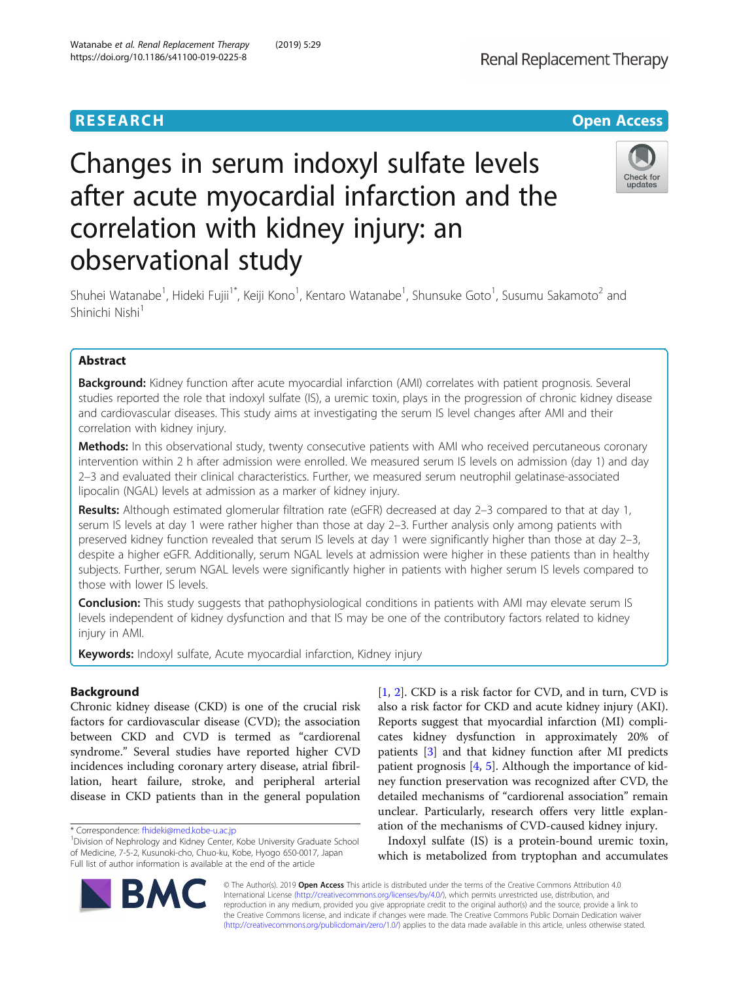

# Changes in serum indoxyl sulfate levels after acute myocardial infarction and the correlation with kidney injury: an observational study



Shuhei Watanabe<sup>1</sup>, Hideki Fujii<sup>1\*</sup>, Keiji Kono<sup>1</sup>, Kentaro Watanabe<sup>1</sup>, Shunsuke Goto<sup>1</sup>, Susumu Sakamoto<sup>2</sup> and Shinichi Nishi<sup>1</sup>

# Abstract

**Background:** Kidney function after acute myocardial infarction (AMI) correlates with patient prognosis. Several studies reported the role that indoxyl sulfate (IS), a uremic toxin, plays in the progression of chronic kidney disease and cardiovascular diseases. This study aims at investigating the serum IS level changes after AMI and their correlation with kidney injury.

Methods: In this observational study, twenty consecutive patients with AMI who received percutaneous coronary intervention within 2 h after admission were enrolled. We measured serum IS levels on admission (day 1) and day 2–3 and evaluated their clinical characteristics. Further, we measured serum neutrophil gelatinase-associated lipocalin (NGAL) levels at admission as a marker of kidney injury.

Results: Although estimated glomerular filtration rate (eGFR) decreased at day 2–3 compared to that at day 1, serum IS levels at day 1 were rather higher than those at day 2–3. Further analysis only among patients with preserved kidney function revealed that serum IS levels at day 1 were significantly higher than those at day 2–3, despite a higher eGFR. Additionally, serum NGAL levels at admission were higher in these patients than in healthy subjects. Further, serum NGAL levels were significantly higher in patients with higher serum IS levels compared to those with lower IS levels.

Conclusion: This study suggests that pathophysiological conditions in patients with AMI may elevate serum IS levels independent of kidney dysfunction and that IS may be one of the contributory factors related to kidney injury in AMI.

**Keywords:** Indoxyl sulfate, Acute myocardial infarction, Kidney injury

# Background

Chronic kidney disease (CKD) is one of the crucial risk factors for cardiovascular disease (CVD); the association between CKD and CVD is termed as "cardiorenal syndrome." Several studies have reported higher CVD incidences including coronary artery disease, atrial fibrillation, heart failure, stroke, and peripheral arterial disease in CKD patients than in the general population [[1,](#page-5-0) [2\]](#page-5-0). CKD is a risk factor for CVD, and in turn, CVD is also a risk factor for CKD and acute kidney injury (AKI). Reports suggest that myocardial infarction (MI) complicates kidney dysfunction in approximately 20% of patients [\[3](#page-5-0)] and that kidney function after MI predicts patient prognosis [\[4](#page-5-0), [5](#page-5-0)]. Although the importance of kidney function preservation was recognized after CVD, the detailed mechanisms of "cardiorenal association" remain unclear. Particularly, research offers very little explanation of the mechanisms of CVD-caused kidney injury.

Indoxyl sulfate (IS) is a protein-bound uremic toxin, which is metabolized from tryptophan and accumulates

© The Author(s). 2019 **Open Access** This article is distributed under the terms of the Creative Commons Attribution 4.0 International License [\(http://creativecommons.org/licenses/by/4.0/](http://creativecommons.org/licenses/by/4.0/)), which permits unrestricted use, distribution, and reproduction in any medium, provided you give appropriate credit to the original author(s) and the source, provide a link to the Creative Commons license, and indicate if changes were made. The Creative Commons Public Domain Dedication waiver [\(http://creativecommons.org/publicdomain/zero/1.0/](http://creativecommons.org/publicdomain/zero/1.0/)) applies to the data made available in this article, unless otherwise stated.



<sup>\*</sup> Correspondence: [fhideki@med.kobe-u.ac.jp](mailto:fhideki@med.kobe-u.ac.jp) <sup>1</sup>

Division of Nephrology and Kidney Center, Kobe University Graduate School of Medicine, 7-5-2, Kusunoki-cho, Chuo-ku, Kobe, Hyogo 650-0017, Japan Full list of author information is available at the end of the article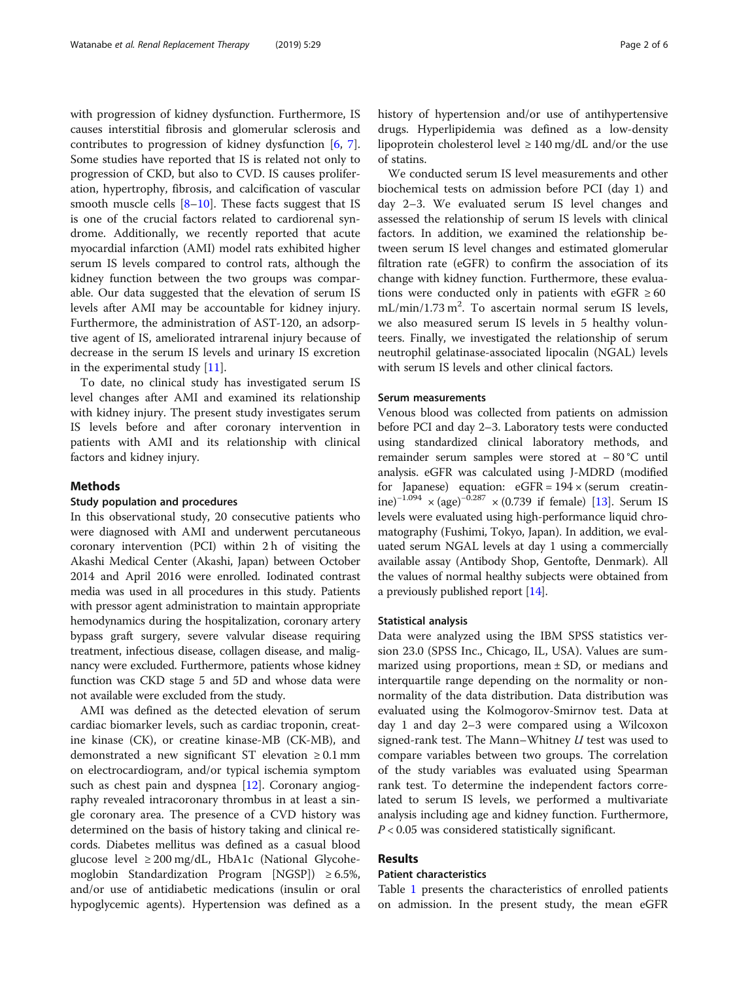with progression of kidney dysfunction. Furthermore, IS causes interstitial fibrosis and glomerular sclerosis and contributes to progression of kidney dysfunction [\[6](#page-5-0), [7](#page-5-0)]. Some studies have reported that IS is related not only to progression of CKD, but also to CVD. IS causes proliferation, hypertrophy, fibrosis, and calcification of vascular smooth muscle cells  $[8-10]$  $[8-10]$  $[8-10]$ . These facts suggest that IS is one of the crucial factors related to cardiorenal syndrome. Additionally, we recently reported that acute myocardial infarction (AMI) model rats exhibited higher serum IS levels compared to control rats, although the kidney function between the two groups was comparable. Our data suggested that the elevation of serum IS levels after AMI may be accountable for kidney injury. Furthermore, the administration of AST-120, an adsorptive agent of IS, ameliorated intrarenal injury because of decrease in the serum IS levels and urinary IS excretion in the experimental study [[11](#page-5-0)].

To date, no clinical study has investigated serum IS level changes after AMI and examined its relationship with kidney injury. The present study investigates serum IS levels before and after coronary intervention in patients with AMI and its relationship with clinical factors and kidney injury.

#### Methods

### Study population and procedures

In this observational study, 20 consecutive patients who were diagnosed with AMI and underwent percutaneous coronary intervention (PCI) within 2 h of visiting the Akashi Medical Center (Akashi, Japan) between October 2014 and April 2016 were enrolled. Iodinated contrast media was used in all procedures in this study. Patients with pressor agent administration to maintain appropriate hemodynamics during the hospitalization, coronary artery bypass graft surgery, severe valvular disease requiring treatment, infectious disease, collagen disease, and malignancy were excluded. Furthermore, patients whose kidney function was CKD stage 5 and 5D and whose data were not available were excluded from the study.

AMI was defined as the detected elevation of serum cardiac biomarker levels, such as cardiac troponin, creatine kinase (CK), or creatine kinase-MB (CK-MB), and demonstrated a new significant ST elevation ≥ 0.1 mm on electrocardiogram, and/or typical ischemia symptom such as chest pain and dyspnea [\[12](#page-5-0)]. Coronary angiography revealed intracoronary thrombus in at least a single coronary area. The presence of a CVD history was determined on the basis of history taking and clinical records. Diabetes mellitus was defined as a casual blood glucose level ≥ 200 mg/dL, HbA1c (National Glycohemoglobin Standardization Program [NGSP]) ≥ 6.5%, and/or use of antidiabetic medications (insulin or oral hypoglycemic agents). Hypertension was defined as a history of hypertension and/or use of antihypertensive drugs. Hyperlipidemia was defined as a low-density lipoprotein cholesterol level  $\geq 140$  mg/dL and/or the use of statins.

We conducted serum IS level measurements and other biochemical tests on admission before PCI (day 1) and day 2–3. We evaluated serum IS level changes and assessed the relationship of serum IS levels with clinical factors. In addition, we examined the relationship between serum IS level changes and estimated glomerular filtration rate (eGFR) to confirm the association of its change with kidney function. Furthermore, these evaluations were conducted only in patients with eGFR  $\geq 60$ mL/min/1.73 m<sup>2</sup>. To ascertain normal serum IS levels, we also measured serum IS levels in 5 healthy volunteers. Finally, we investigated the relationship of serum neutrophil gelatinase-associated lipocalin (NGAL) levels with serum IS levels and other clinical factors.

#### Serum measurements

Venous blood was collected from patients on admission before PCI and day 2–3. Laboratory tests were conducted using standardized clinical laboratory methods, and remainder serum samples were stored at − 80 °C until analysis. eGFR was calculated using J-MDRD (modified for Japanese) equation:  $eGFR = 194 \times (serum creation-$ ine)<sup>-1.094</sup> × (age)<sup>-0.287</sup> × (0.739 if female) [\[13\]](#page-5-0). Serum IS levels were evaluated using high-performance liquid chromatography (Fushimi, Tokyo, Japan). In addition, we evaluated serum NGAL levels at day 1 using a commercially available assay (Antibody Shop, Gentofte, Denmark). All the values of normal healthy subjects were obtained from a previously published report [[14](#page-5-0)].

#### Statistical analysis

Data were analyzed using the IBM SPSS statistics version 23.0 (SPSS Inc., Chicago, IL, USA). Values are summarized using proportions, mean ± SD, or medians and interquartile range depending on the normality or nonnormality of the data distribution. Data distribution was evaluated using the Kolmogorov-Smirnov test. Data at day 1 and day 2–3 were compared using a Wilcoxon signed-rank test. The Mann–Whitney  $U$  test was used to compare variables between two groups. The correlation of the study variables was evaluated using Spearman rank test. To determine the independent factors correlated to serum IS levels, we performed a multivariate analysis including age and kidney function. Furthermore,  $P < 0.05$  was considered statistically significant.

# Results

# Patient characteristics

Table [1](#page-2-0) presents the characteristics of enrolled patients on admission. In the present study, the mean eGFR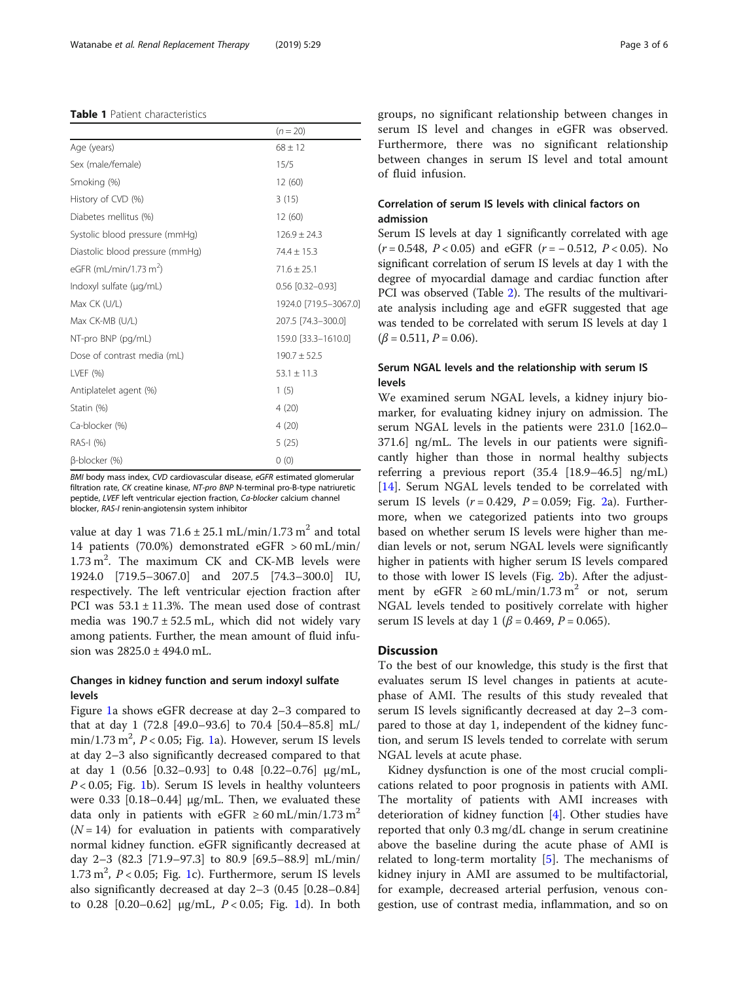#### <span id="page-2-0"></span>Table 1 Patient characteristics

|                                    | $(n = 20)$             |
|------------------------------------|------------------------|
| Age (years)                        | $68 \pm 12$            |
| Sex (male/female)                  | 15/5                   |
| Smoking (%)                        | 12(60)                 |
| History of CVD (%)                 | 3(15)                  |
| Diabetes mellitus (%)              | 12 (60)                |
| Systolic blood pressure (mmHq)     | $126.9 \pm 24.3$       |
| Diastolic blood pressure (mmHg)    | $74.4 \pm 15.3$        |
| eGFR (mL/min/1.73 m <sup>2</sup> ) | $71.6 \pm 25.1$        |
| Indoxyl sulfate (µg/mL)            | $0.56$ $[0.32 - 0.93]$ |
| Max CK (U/L)                       | 1924.0 [719.5-3067.0]  |
| Max CK-MB (U/L)                    | 207.5 [74.3-300.0]     |
| NT-pro BNP (pg/mL)                 | 159.0 [33.3-1610.0]    |
| Dose of contrast media (mL)        | $190.7 \pm 52.5$       |
| LVEF $(% )$                        | $53.1 \pm 11.3$        |
| Antiplatelet agent (%)             | 1(5)                   |
| Statin (%)                         | 4(20)                  |
| Ca-blocker (%)                     | 4(20)                  |
| RAS-I (%)                          | 5(25)                  |
| B-blocker (%)                      | 0(0)                   |

BMI body mass index, CVD cardiovascular disease, eGFR estimated glomerular filtration rate, CK creatine kinase, NT-pro BNP N-terminal pro-B-type natriuretic peptide, LVEF left ventricular ejection fraction, Ca-blocker calcium channel blocker, RAS-I renin-angiotensin system inhibitor

value at day 1 was  $71.6 \pm 25.1$  mL/min/1.73 m<sup>2</sup> and total 14 patients (70.0%) demonstrated eGFR > 60 mL/min/  $1.73 \text{ m}^2$ . The maximum CK and CK-MB levels were 1924.0 [719.5–3067.0] and 207.5 [74.3–300.0] IU, respectively. The left ventricular ejection fraction after PCI was  $53.1 \pm 11.3$ %. The mean used dose of contrast media was  $190.7 \pm 52.5$  mL, which did not widely vary among patients. Further, the mean amount of fluid infusion was 2825.0 ± 494.0 mL.

# Changes in kidney function and serum indoxyl sulfate levels

Figure [1a](#page-3-0) shows eGFR decrease at day 2–3 compared to that at day 1 (72.8 [49.0–93.6] to 70.4 [50.4–85.8] mL/  $\min/1.73 \text{ m}^2$ ,  $P < 0.05$ ; Fig. [1a](#page-3-0)). However, serum IS levels at day 2–3 also significantly decreased compared to that at day 1 (0.56 [0.32–0.93] to 0.48 [0.22–0.76] μg/mL,  $P < 0.05$ ; Fig. [1](#page-3-0)b). Serum IS levels in healthy volunteers were 0.33 [0.18–0.44] μg/mL. Then, we evaluated these data only in patients with eGFR  $\geq 60$  mL/min/1.73 m<sup>2</sup>  $(N = 14)$  for evaluation in patients with comparatively normal kidney function. eGFR significantly decreased at day 2–3 (82.3 [71.9–97.3] to 80.9 [69.5–88.9] mL/min/  $1.73 \text{ m}^2$ ,  $P < 0.05$ ; Fig. [1c](#page-3-0)). Furthermore, serum IS levels also significantly decreased at day 2–3 (0.45 [0.28–0.84] to 0.28 [0.20–0.62]  $\mu$ g/mL, *P* < 0.05; Fig. [1](#page-3-0)d). In both groups, no significant relationship between changes in serum IS level and changes in eGFR was observed. Furthermore, there was no significant relationship between changes in serum IS level and total amount of fluid infusion.

# Correlation of serum IS levels with clinical factors on admission

Serum IS levels at day 1 significantly correlated with age  $(r = 0.548, P < 0.05)$  and eGFR  $(r = -0.512, P < 0.05)$ . No significant correlation of serum IS levels at day 1 with the degree of myocardial damage and cardiac function after PCI was observed (Table [2](#page-3-0)). The results of the multivariate analysis including age and eGFR suggested that age was tended to be correlated with serum IS levels at day 1  $(\beta = 0.511, P = 0.06).$ 

# Serum NGAL levels and the relationship with serum IS levels

We examined serum NGAL levels, a kidney injury biomarker, for evaluating kidney injury on admission. The serum NGAL levels in the patients were 231.0 [162.0– 371.6] ng/mL. The levels in our patients were significantly higher than those in normal healthy subjects referring a previous report (35.4 [18.9–46.5] ng/mL) [[14\]](#page-5-0). Serum NGAL levels tended to be correlated with serum IS levels  $(r = 0.429, P = 0.059;$  Fig. [2a](#page-4-0)). Furthermore, when we categorized patients into two groups based on whether serum IS levels were higher than median levels or not, serum NGAL levels were significantly higher in patients with higher serum IS levels compared to those with lower IS levels (Fig. [2](#page-4-0)b). After the adjustment by eGFR  $\geq 60$  mL/min/1.73 m<sup>2</sup> or not, serum NGAL levels tended to positively correlate with higher serum IS levels at day 1 ( $\beta$  = 0.469, P = 0.065).

# **Discussion**

To the best of our knowledge, this study is the first that evaluates serum IS level changes in patients at acutephase of AMI. The results of this study revealed that serum IS levels significantly decreased at day 2–3 compared to those at day 1, independent of the kidney function, and serum IS levels tended to correlate with serum NGAL levels at acute phase.

Kidney dysfunction is one of the most crucial complications related to poor prognosis in patients with AMI. The mortality of patients with AMI increases with deterioration of kidney function [[4](#page-5-0)]. Other studies have reported that only 0.3 mg/dL change in serum creatinine above the baseline during the acute phase of AMI is related to long-term mortality [\[5](#page-5-0)]. The mechanisms of kidney injury in AMI are assumed to be multifactorial, for example, decreased arterial perfusion, venous congestion, use of contrast media, inflammation, and so on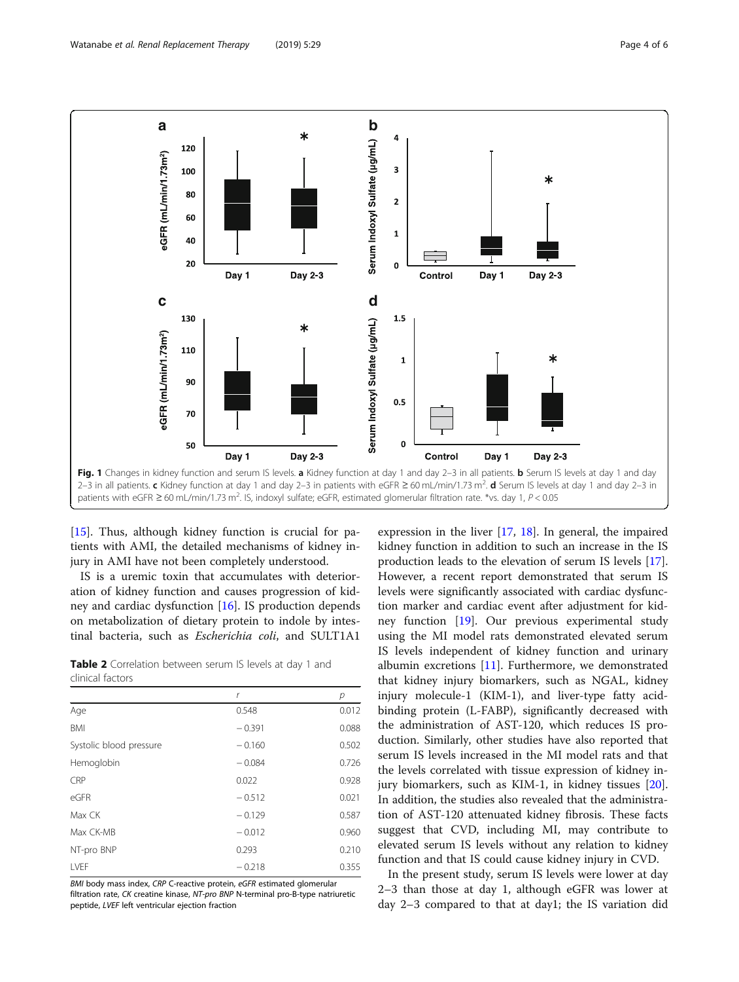<span id="page-3-0"></span>

[[15\]](#page-5-0). Thus, although kidney function is crucial for patients with AMI, the detailed mechanisms of kidney injury in AMI have not been completely understood.

IS is a uremic toxin that accumulates with deterioration of kidney function and causes progression of kidney and cardiac dysfunction [[16](#page-5-0)]. IS production depends on metabolization of dietary protein to indole by intestinal bacteria, such as Escherichia coli, and SULT1A1

| Table 2 Correlation between serum IS levels at day 1 and |  |  |  |  |
|----------------------------------------------------------|--|--|--|--|
| clinical factors                                         |  |  |  |  |

|                         | r        | р     |
|-------------------------|----------|-------|
| Age                     | 0.548    | 0.012 |
| <b>BMI</b>              | $-0.391$ | 0.088 |
| Systolic blood pressure | $-0.160$ | 0.502 |
| Hemoglobin              | $-0.084$ | 0.726 |
| CRP                     | 0.022    | 0.928 |
| eGFR                    | $-0.512$ | 0.021 |
| Max CK                  | $-0.129$ | 0.587 |
| Max CK-MB               | $-0.012$ | 0.960 |
| NT-pro BNP              | 0.293    | 0.210 |
| LVEF                    | $-0.218$ | 0.355 |

BMI body mass index, CRP C-reactive protein, eGFR estimated glomerular filtration rate, CK creatine kinase, NT-pro BNP N-terminal pro-B-type natriuretic peptide, LVEF left ventricular ejection fraction

expression in the liver [[17,](#page-5-0) [18](#page-5-0)]. In general, the impaired kidney function in addition to such an increase in the IS production leads to the elevation of serum IS levels [\[17](#page-5-0)]. However, a recent report demonstrated that serum IS levels were significantly associated with cardiac dysfunction marker and cardiac event after adjustment for kidney function [[19\]](#page-5-0). Our previous experimental study using the MI model rats demonstrated elevated serum IS levels independent of kidney function and urinary albumin excretions [[11](#page-5-0)]. Furthermore, we demonstrated that kidney injury biomarkers, such as NGAL, kidney injury molecule-1 (KIM-1), and liver-type fatty acidbinding protein (L-FABP), significantly decreased with the administration of AST-120, which reduces IS production. Similarly, other studies have also reported that serum IS levels increased in the MI model rats and that the levels correlated with tissue expression of kidney injury biomarkers, such as KIM-1, in kidney tissues [\[20](#page-5-0)]. In addition, the studies also revealed that the administration of AST-120 attenuated kidney fibrosis. These facts suggest that CVD, including MI, may contribute to elevated serum IS levels without any relation to kidney function and that IS could cause kidney injury in CVD.

In the present study, serum IS levels were lower at day 2–3 than those at day 1, although eGFR was lower at day 2–3 compared to that at day1; the IS variation did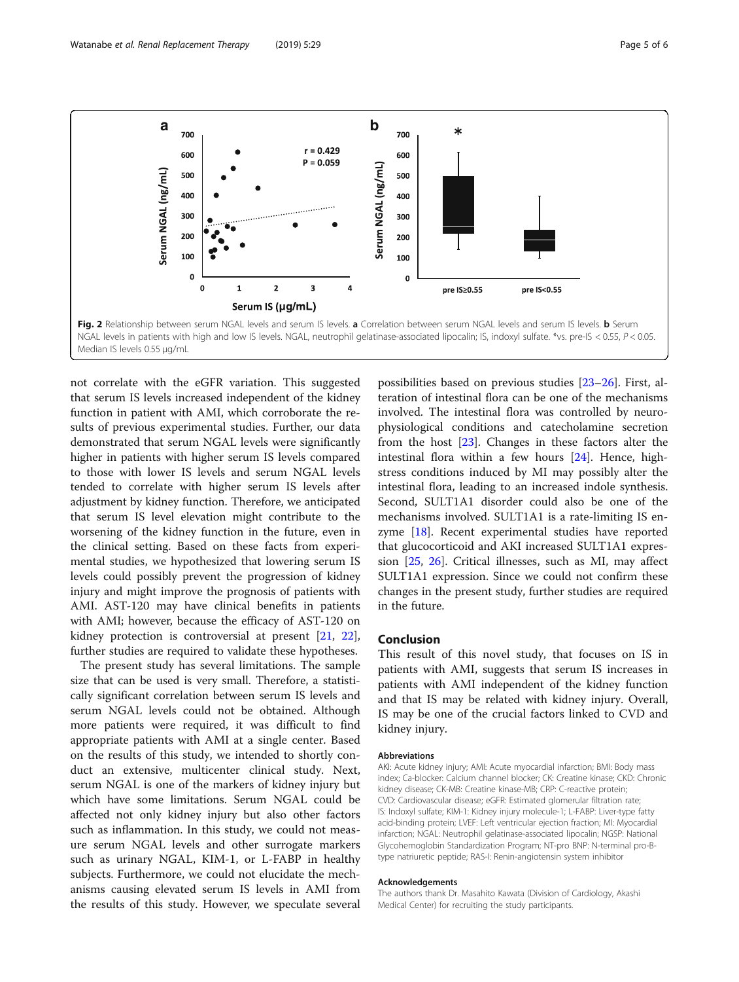<span id="page-4-0"></span>

not correlate with the eGFR variation. This suggested that serum IS levels increased independent of the kidney function in patient with AMI, which corroborate the results of previous experimental studies. Further, our data demonstrated that serum NGAL levels were significantly higher in patients with higher serum IS levels compared to those with lower IS levels and serum NGAL levels tended to correlate with higher serum IS levels after adjustment by kidney function. Therefore, we anticipated that serum IS level elevation might contribute to the worsening of the kidney function in the future, even in the clinical setting. Based on these facts from experimental studies, we hypothesized that lowering serum IS levels could possibly prevent the progression of kidney injury and might improve the prognosis of patients with AMI. AST-120 may have clinical benefits in patients with AMI; however, because the efficacy of AST-120 on kidney protection is controversial at present [\[21,](#page-5-0) [22](#page-5-0)], further studies are required to validate these hypotheses.

The present study has several limitations. The sample size that can be used is very small. Therefore, a statistically significant correlation between serum IS levels and serum NGAL levels could not be obtained. Although more patients were required, it was difficult to find appropriate patients with AMI at a single center. Based on the results of this study, we intended to shortly conduct an extensive, multicenter clinical study. Next, serum NGAL is one of the markers of kidney injury but which have some limitations. Serum NGAL could be affected not only kidney injury but also other factors such as inflammation. In this study, we could not measure serum NGAL levels and other surrogate markers such as urinary NGAL, KIM-1, or L-FABP in healthy subjects. Furthermore, we could not elucidate the mechanisms causing elevated serum IS levels in AMI from the results of this study. However, we speculate several

possibilities based on previous studies [\[23](#page-5-0)–[26\]](#page-5-0). First, alteration of intestinal flora can be one of the mechanisms involved. The intestinal flora was controlled by neurophysiological conditions and catecholamine secretion from the host [\[23](#page-5-0)]. Changes in these factors alter the intestinal flora within a few hours [\[24\]](#page-5-0). Hence, highstress conditions induced by MI may possibly alter the intestinal flora, leading to an increased indole synthesis. Second, SULT1A1 disorder could also be one of the mechanisms involved. SULT1A1 is a rate-limiting IS enzyme [\[18](#page-5-0)]. Recent experimental studies have reported that glucocorticoid and AKI increased SULT1A1 expression [\[25](#page-5-0), [26\]](#page-5-0). Critical illnesses, such as MI, may affect SULT1A1 expression. Since we could not confirm these changes in the present study, further studies are required in the future.

## Conclusion

This result of this novel study, that focuses on IS in patients with AMI, suggests that serum IS increases in patients with AMI independent of the kidney function and that IS may be related with kidney injury. Overall, IS may be one of the crucial factors linked to CVD and kidney injury.

#### Abbreviations

AKI: Acute kidney injury; AMI: Acute myocardial infarction; BMI: Body mass index; Ca-blocker: Calcium channel blocker; CK: Creatine kinase; CKD: Chronic kidney disease; CK-MB: Creatine kinase-MB; CRP: C-reactive protein; CVD: Cardiovascular disease; eGFR: Estimated glomerular filtration rate; IS: Indoxyl sulfate; KIM-1: Kidney injury molecule-1; L-FABP: Liver-type fatty acid-binding protein; LVEF: Left ventricular ejection fraction; MI: Myocardial infarction; NGAL: Neutrophil gelatinase-associated lipocalin; NGSP: National Glycohemoglobin Standardization Program; NT-pro BNP: N-terminal pro-Btype natriuretic peptide; RAS-I: Renin-angiotensin system inhibitor

#### Acknowledgements

The authors thank Dr. Masahito Kawata (Division of Cardiology, Akashi Medical Center) for recruiting the study participants.